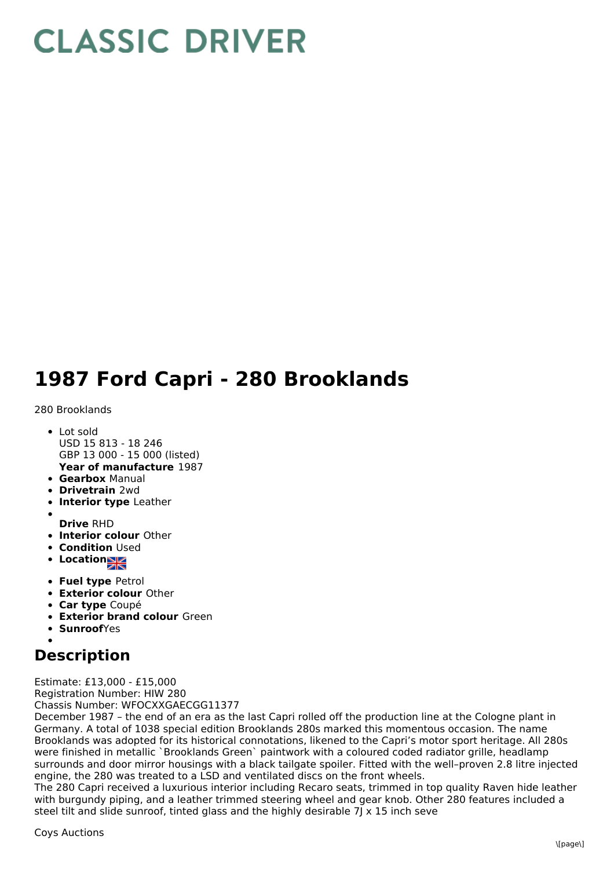## **CLASSIC DRIVER**

## **1987 Ford Capri - 280 Brooklands**

## 280 Brooklands

- Lot sold USD 15 813 - 18 246 GBP 13 000 - 15 000 (listed)
- **Year of manufacture** 1987
- **Gearbox** Manual **Drivetrain** 2wd
- 
- **Interior type** Leather
- **Drive** RHD
- **Interior colour** Other
- **Condition Used**
- Location
- **Fuel type** Petrol
- **Exterior colour** Other
- **Car type** Coupé
- **Exterior brand colour** Green
- **Sunroof**Yes

## **Description**

Estimate: £13,000 - £15,000 Registration Number: HIW 280 Chassis Number: WFOCXXGAECGG11377

December 1987 – the end of an era as the last Capri rolled off the production line at the Cologne plant in Germany. A total of 1038 special edition Brooklands 280s marked this momentous occasion. The name Brooklands was adopted for its historical connotations, likened to the Capri's motor sport heritage. All 280s were finished in metallic `Brooklands Green` paintwork with a coloured coded radiator grille, headlamp surrounds and door mirror housings with a black tailgate spoiler. Fitted with the well–proven 2.8 litre injected engine, the 280 was treated to a LSD and ventilated discs on the front wheels.

The 280 Capri received a luxurious interior including Recaro seats, trimmed in top quality Raven hide leather with burgundy piping, and a leather trimmed steering wheel and gear knob. Other 280 features included a steel tilt and slide sunroof, tinted glass and the highly desirable 7J  $\times$  15 inch seve

Coys Auctions